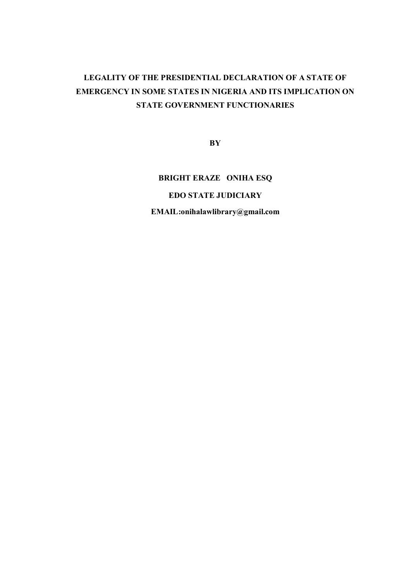# **LEGALITY OF THE PRESIDENTIAL DECLARATION OF A STATE OF EMERGENCY IN SOME STATES IN NIGERIA AND ITS IMPLICATION ON STATE GOVERNMENT FUNCTIONARIES**

**BY**

## **BRIGHT ERAZE ONIHA ESQ**

### **EDO STATE JUDICIARY**

**EMAIL:onihalawlibrary@gmail.com**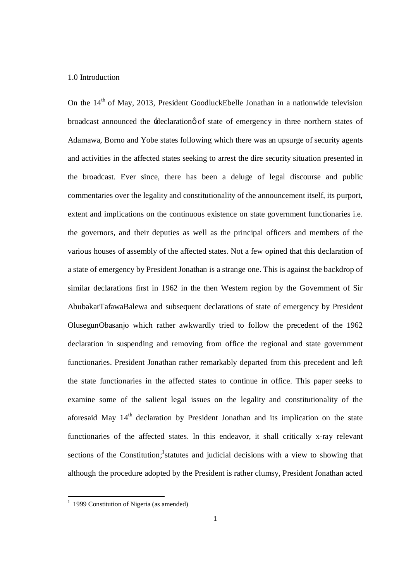#### 1.0 Introduction

On the 14<sup>th</sup> of May, 2013, President GoodluckEbelle Jonathan in a nationwide television broadcast announced the -declaration of state of emergency in three northern states of Adamawa, Borno and Yobe states following which there was an upsurge of security agents and activities in the affected states seeking to arrest the dire security situation presented in the broadcast. Ever since, there has been a deluge of legal discourse and public commentaries over the legality and constitutionality of the announcement itself, its purport, extent and implications on the continuous existence on state government functionaries i.e. the governors, and their deputies as well as the principal officers and members of the various houses of assembly of the affected states. Not a few opined that this declaration of a state of emergency by President Jonathan is a strange one. This is against the backdrop of similar declarations first in 1962 in the then Western region by the Government of Sir AbubakarTafawaBalewa and subsequent declarations of state of emergency by President OlusegunObasanjo which rather awkwardly tried to follow the precedent of the 1962 declaration in suspending and removing from office the regional and state government functionaries. President Jonathan rather remarkably departed from this precedent and left the state functionaries in the affected states to continue in office. This paper seeks to examine some of the salient legal issues on the legality and constitutionality of the aforesaid May  $14<sup>th</sup>$  declaration by President Jonathan and its implication on the state functionaries of the affected states. In this endeavor, it shall critically x-ray relevant sections of the Constitution;<sup>1</sup> statutes and judicial decisions with a view to showing that although the procedure adopted by the President is rather clumsy, President Jonathan acted

 $\frac{1}{1}$ <sup>1</sup> 1999 Constitution of Nigeria (as amended)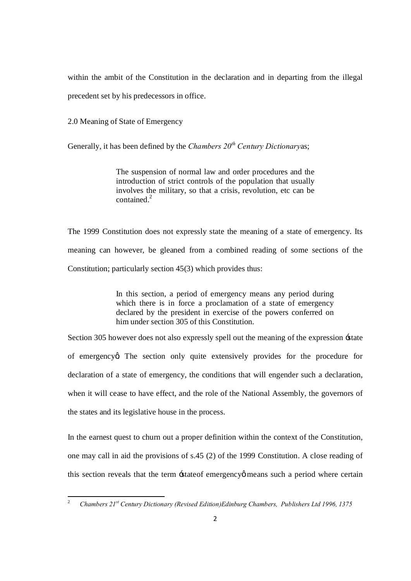within the ambit of the Constitution in the declaration and in departing from the illegal precedent set by his predecessors in office.

2.0 Meaning of State of Emergency

Generally, it has been defined by the *Chambers 20th Century Dictionary*as;

The suspension of normal law and order procedures and the introduction of strict controls of the population that usually involves the military, so that a crisis, revolution, etc can be contained.<sup>2</sup>

The 1999 Constitution does not expressly state the meaning of a state of emergency. Its meaning can however, be gleaned from a combined reading of some sections of the Constitution; particularly section 45(3) which provides thus:

> In this section, a period of emergency means any period during which there is in force a proclamation of a state of emergency declared by the president in exercise of the powers conferred on him under section 305 of this Constitution.

Section 305 however does not also expressly spell out the meaning of the expression 'state of emergency a The section only quite extensively provides for the procedure for declaration of a state of emergency, the conditions that will engender such a declaration, when it will cease to have effect, and the role of the National Assembly, the governors of the states and its legislative house in the process.

In the earnest quest to churn out a proper definition within the context of the Constitution, one may call in aid the provisions of s.45 (2) of the 1999 Constitution. A close reading of this section reveals that the term -stateof emergency omeans such a period where certain

<sup>2</sup> *Chambers 21st Century Dictionary (Revised Edition)Edinburg Chambers, Publishers Ltd 1996, <sup>1375</sup>*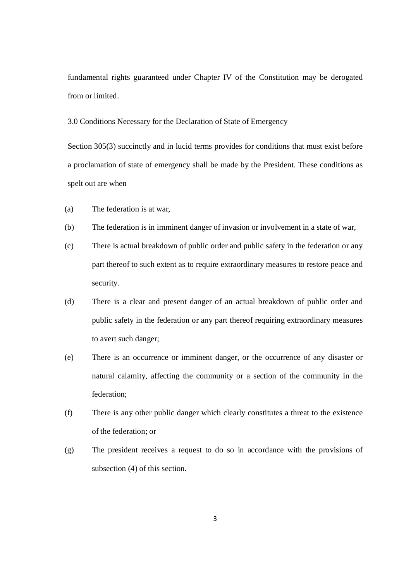fundamental rights guaranteed under Chapter IV of the Constitution may be derogated from or limited.

3.0 Conditions Necessary for the Declaration of State of Emergency

Section 305(3) succinctly and in lucid terms provides for conditions that must exist before a proclamation of state of emergency shall be made by the President. These conditions as spelt out are when

- (a) The federation is at war,
- (b) The federation is in imminent danger of invasion or involvement in a state of war,
- (c) There is actual breakdown of public order and public safety in the federation or any part thereof to such extent as to require extraordinary measures to restore peace and security.
- (d) There is a clear and present danger of an actual breakdown of public order and public safety in the federation or any part thereof requiring extraordinary measures to avert such danger;
- (e) There is an occurrence or imminent danger, or the occurrence of any disaster or natural calamity, affecting the community or a section of the community in the federation;
- (f) There is any other public danger which clearly constitutes a threat to the existence of the federation; or
- (g) The president receives a request to do so in accordance with the provisions of subsection (4) of this section.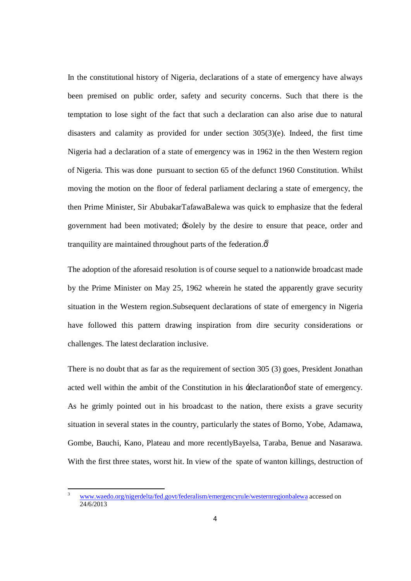In the constitutional history of Nigeria, declarations of a state of emergency have always been premised on public order, safety and security concerns. Such that there is the temptation to lose sight of the fact that such a declaration can also arise due to natural disasters and calamity as provided for under section 305(3)(e). Indeed, the first time Nigeria had a declaration of a state of emergency was in 1962 in the then Western region of Nigeria. This was done pursuant to section 65 of the defunct 1960 Constitution. Whilst moving the motion on the floor of federal parliament declaring a state of emergency, the then Prime Minister, Sir AbubakarTafawaBalewa was quick to emphasize that the federal government had been motivated; 'Solely by the desire to ensure that peace, order and tranquility are maintained throughout parts of the federation. $\vec{\delta}$ 

The adoption of the aforesaid resolution is of course sequel to a nationwide broadcast made by the Prime Minister on May 25, 1962 wherein he stated the apparently grave security situation in the Western region.Subsequent declarations of state of emergency in Nigeria have followed this pattern drawing inspiration from dire security considerations or challenges. The latest declaration inclusive.

There is no doubt that as far as the requirement of section 305 (3) goes, President Jonathan acted well within the ambit of the Constitution in his -declaration of state of emergency. As he grimly pointed out in his broadcast to the nation, there exists a grave security situation in several states in the country, particularly the states of Borno, Yobe, Adamawa, Gombe, Bauchi, Kano, Plateau and more recentlyBayelsa, Taraba, Benue and Nasarawa. With the first three states, worst hit. In view of the spate of wanton killings, destruction of

<sup>3</sup> www.waedo.org/nigerdelta/fed.govt/federalism/emergencyrule/westernregionbalewa accessed on 24/6/2013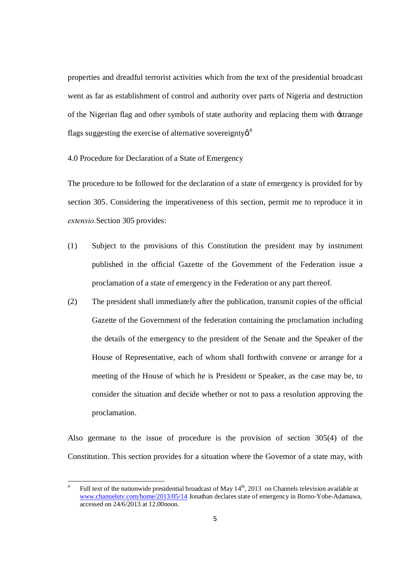properties and dreadful terrorist activities which from the text of the presidential broadcast went as far as establishment of control and authority over parts of Nigeria and destruction of the Nigerian flag and other symbols of state authority and replacing them with 'strange flags suggesting the exercise of alternative sovereignty  $\beta^4$ 

4.0 Procedure for Declaration of a State of Emergency

The procedure to be followed for the declaration of a state of emergency is provided for by section 305. Considering the imperativeness of this section, permit me to reproduce it in *extensio.*Section 305 provides:

- (1) Subject to the provisions of this Constitution the president may by instrument published in the official Gazette of the Government of the Federation issue a proclamation of a state of emergency in the Federation or any part thereof.
- (2) The president shall immediately after the publication, transmit copies of the official Gazette of the Government of the federation containing the proclamation including the details of the emergency to the president of the Senate and the Speaker of the House of Representative, each of whom shall forthwith convene or arrange for a meeting of the House of which he is President or Speaker, as the case may be, to consider the situation and decide whether or not to pass a resolution approving the proclamation.

Also germane to the issue of procedure is the provision of section 305(4) of the Constitution. This section provides for a situation where the Governor of a state may, with

<sup>&</sup>lt;sup>4</sup> Full text of the nationwide presidential broadcast of May  $14<sup>th</sup>$ , 2013 on Channels television available at www.channelstv.com/home/2013/05/14 Jonathan declares state of emergency in Borno-Yobe-Adamawa, accessed on 24/6/2013 at 12.00noon.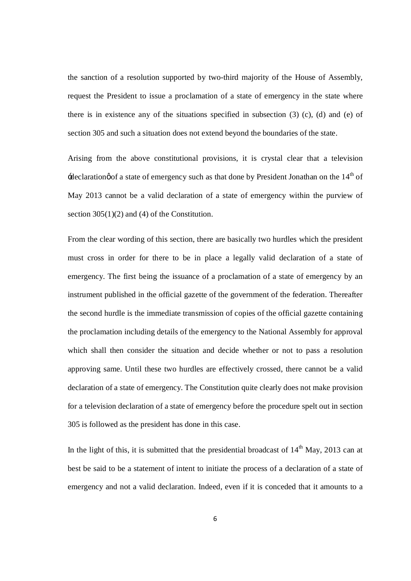the sanction of a resolution supported by two-third majority of the House of Assembly, request the President to issue a proclamation of a state of emergency in the state where there is in existence any of the situations specified in subsection  $(3)$   $(c)$ ,  $(d)$  and  $(e)$  of section 305 and such a situation does not extend beyond the boundaries of the state.

Arising from the above constitutional provisions, it is crystal clear that a television  $\pm$ declaration $\phi$  of a state of emergency such as that done by President Jonathan on the 14<sup>th</sup> of May 2013 cannot be a valid declaration of a state of emergency within the purview of section  $305(1)(2)$  and (4) of the Constitution.

From the clear wording of this section, there are basically two hurdles which the president must cross in order for there to be in place a legally valid declaration of a state of emergency. The first being the issuance of a proclamation of a state of emergency by an instrument published in the official gazette of the government of the federation. Thereafter the second hurdle is the immediate transmission of copies of the official gazette containing the proclamation including details of the emergency to the National Assembly for approval which shall then consider the situation and decide whether or not to pass a resolution approving same. Until these two hurdles are effectively crossed, there cannot be a valid declaration of a state of emergency. The Constitution quite clearly does not make provision for a television declaration of a state of emergency before the procedure spelt out in section 305 is followed as the president has done in this case.

In the light of this, it is submitted that the presidential broadcast of  $14<sup>th</sup>$  May, 2013 can at best be said to be a statement of intent to initiate the process of a declaration of a state of emergency and not a valid declaration. Indeed, even if it is conceded that it amounts to a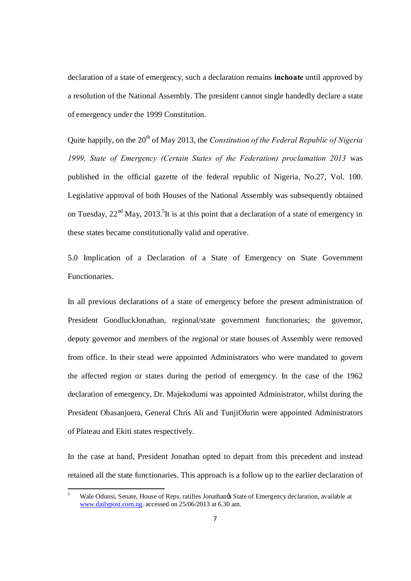declaration of a state of emergency, such a declaration remains **inchoate** until approved by a resolution of the National Assembly. The president cannot single handedly declare a state of emergency under the 1999 Constitution.

Quite happily, on the 20<sup>th</sup> of May 2013, the *Constitution of the Federal Republic of Nigeria 1999, State of Emergency (Certain States of the Federation) proclamation 2013* was published in the official gazette of the federal republic of Nigeria, No.27, Vol. 100. Legislative approval of both Houses of the National Assembly was subsequently obtained on Tuesday,  $22<sup>nd</sup>$  May,  $2013<sup>5</sup>$ It is at this point that a declaration of a state of emergency in these states became constitutionally valid and operative.

5.0 Implication of a Declaration of a State of Emergency on State Government Functionaries.

In all previous declarations of a state of emergency before the present administration of President GoodluckJonathan, regional/state government functionaries; the governor, deputy governor and members of the regional or state houses of Assembly were removed from office. In their stead were appointed Administrators who were mandated to govern the affected region or states during the period of emergency. In the case of the 1962 declaration of emergency, Dr. Majekodumi was appointed Administrator, whilst during the President Obasanjoera, General Chris Ali and TunjiOlurin were appointed Administrators of Plateau and Ekiti states respectively.

In the case at hand, President Jonathan opted to depart from this precedent and instead retained all the state functionaries. This approach is a follow up to the earlier declaration of

Wale Odunsi, Senate, House of Reps. ratifies Jonathan $\alpha$  State of Emergency declaration, available at www.dailypost.com.ng. accessed on 25/06/2013 at 6.30 am.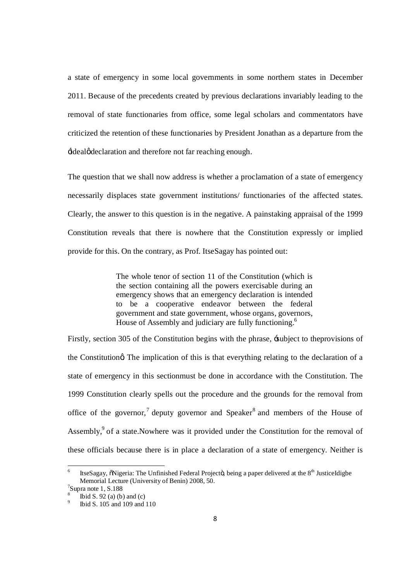a state of emergency in some local governments in some northern states in December 2011. Because of the precedents created by previous declarations invariably leading to the removal of state functionaries from office, some legal scholars and commentators have criticized the retention of these functionaries by President Jonathan as a departure from the  $\dot{a}$  ideal $\phi$  declaration and therefore not far reaching enough.

The question that we shall now address is whether a proclamation of a state of emergency necessarily displaces state government institutions/ functionaries of the affected states. Clearly, the answer to this question is in the negative. A painstaking appraisal of the 1999 Constitution reveals that there is nowhere that the Constitution expressly or implied provide for this. On the contrary, as Prof. ItseSagay has pointed out:

> The whole tenor of section 11 of the Constitution (which is the section containing all the powers exercisable during an emergency shows that an emergency declaration is intended to be a cooperative endeavor between the federal government and state government, whose organs, governors, House of Assembly and judiciary are fully functioning.<sup>6</sup>

Firstly, section 305 of the Constitution begins with the phrase, 'subject to theprovisions of the Constitutiong. The implication of this is that everything relating to the declaration of a state of emergency in this sectionmust be done in accordance with the Constitution. The 1999 Constitution clearly spells out the procedure and the grounds for the removal from office of the governor,<sup>7</sup> deputy governor and Speaker<sup>8</sup> and members of the House of Assembly,<sup>9</sup> of a state.Nowhere was it provided under the Constitution for the removal of these officials because there is in place a declaration of a state of emergency. Neither is

ItseSagay,  $\tilde{\text{o}}$ Nigeria: The Unfinished Federal Projecto, being a paper delivered at the 8<sup>th</sup> JusticeIdigbe Memorial Lecture (University of Benin) 2008, 50.<br>
<sup>7</sup>Supra note 1, S.188

Ibid S. 92 (a) (b) and (c)<br>Ibid S. 105 and 109 and 110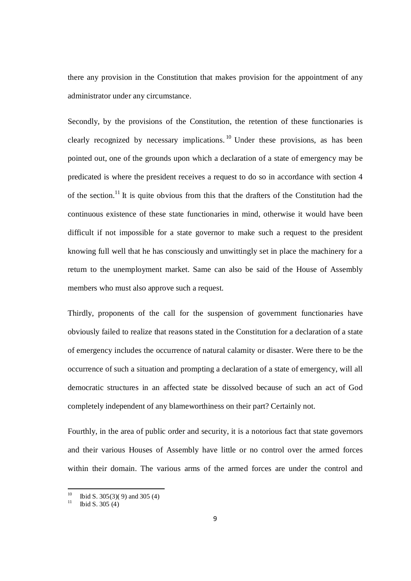there any provision in the Constitution that makes provision for the appointment of any administrator under any circumstance.

Secondly, by the provisions of the Constitution, the retention of these functionaries is clearly recognized by necessary implications. <sup>10</sup> Under these provisions, as has been pointed out, one of the grounds upon which a declaration of a state of emergency may be predicated is where the president receives a request to do so in accordance with section 4 of the section.<sup>11</sup> It is quite obvious from this that the drafters of the Constitution had the continuous existence of these state functionaries in mind, otherwise it would have been difficult if not impossible for a state governor to make such a request to the president knowing full well that he has consciously and unwittingly set in place the machinery for a return to the unemployment market. Same can also be said of the House of Assembly members who must also approve such a request.

Thirdly, proponents of the call for the suspension of government functionaries have obviously failed to realize that reasons stated in the Constitution for a declaration of a state of emergency includes the occurrence of natural calamity or disaster. Were there to be the occurrence of such a situation and prompting a declaration of a state of emergency, will all democratic structures in an affected state be dissolved because of such an act of God completely independent of any blameworthiness on their part? Certainly not.

Fourthly, in the area of public order and security, it is a notorious fact that state governors and their various Houses of Assembly have little or no control over the armed forces within their domain. The various arms of the armed forces are under the control and

<sup>&</sup>lt;sup>10</sup> Ibid S. 305(3)(9) and 305 (4)<sup>11</sup> Ibid S. 305 (4)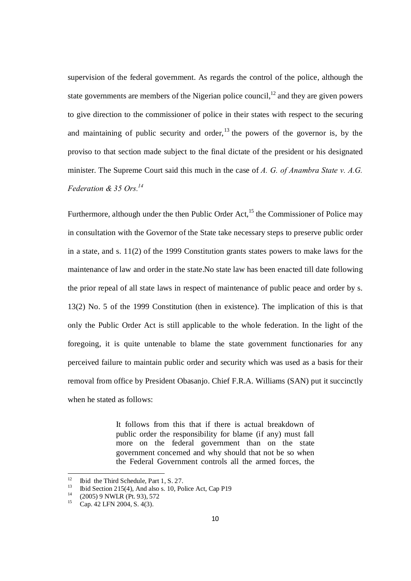supervision of the federal government. As regards the control of the police, although the state governments are members of the Nigerian police council, $^{12}$  and they are given powers to give direction to the commissioner of police in their states with respect to the securing and maintaining of public security and order, $13$  the powers of the governor is, by the proviso to that section made subject to the final dictate of the president or his designated minister. The Supreme Court said this much in the case of *A. G. of Anambra State v. A.G. Federation & 35 Ors.14*

Furthermore, although under the then Public Order Act,<sup>15</sup> the Commissioner of Police may in consultation with the Governor of the State take necessary steps to preserve public order in a state, and s. 11(2) of the 1999 Constitution grants states powers to make laws for the maintenance of law and order in the state.No state law has been enacted till date following the prior repeal of all state laws in respect of maintenance of public peace and order by s. 13(2) No. 5 of the 1999 Constitution (then in existence). The implication of this is that only the Public Order Act is still applicable to the whole federation. In the light of the foregoing, it is quite untenable to blame the state government functionaries for any perceived failure to maintain public order and security which was used as a basis for their removal from office by President Obasanjo. Chief F.R.A. Williams (SAN) put it succinctly when he stated as follows:

> It follows from this that if there is actual breakdown of public order the responsibility for blame (if any) must fall more on the federal government than on the state government concerned and why should that not be so when the Federal Government controls all the armed forces, the

<sup>12</sup> Ibid the Third Schedule, Part 1, S. 27.<br>
13 Ibid Section 215(4), And also s. 10, Police Act, Cap P19<br>
14 (2005) 9 NWLR (Pt. 93), 572<br>
15 Cap. 42 LFN 2004, S. 4(3).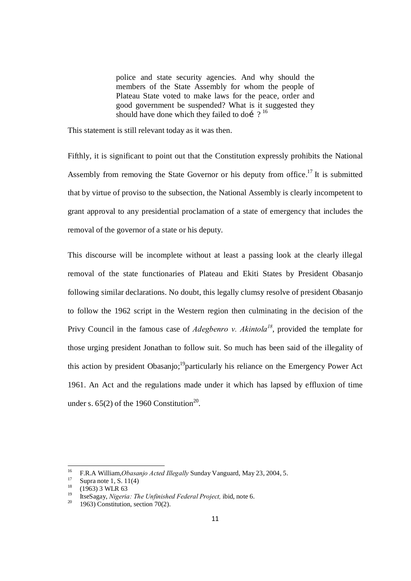police and state security agencies. And why should the members of the State Assembly for whom the people of Plateau State voted to make laws for the peace, order and good government be suspended? What is it suggested they should have done which they failed to doí  $?$ <sup>16</sup>

This statement is still relevant today as it was then.

Fifthly, it is significant to point out that the Constitution expressly prohibits the National Assembly from removing the State Governor or his deputy from office.<sup>17</sup> It is submitted that by virtue of proviso to the subsection, the National Assembly is clearly incompetent to grant approval to any presidential proclamation of a state of emergency that includes the removal of the governor of a state or his deputy.

This discourse will be incomplete without at least a passing look at the clearly illegal removal of the state functionaries of Plateau and Ekiti States by President Obasanjo following similar declarations. No doubt, this legally clumsy resolve of president Obasanjo to follow the 1962 script in the Western region then culminating in the decision of the Privy Council in the famous case of *Adegbenro v. Akintola<sup>18</sup>*, provided the template for those urging president Jonathan to follow suit. So much has been said of the illegality of this action by president Obasanjo;<sup>19</sup>particularly his reliance on the Emergency Power Act 1961. An Act and the regulations made under it which has lapsed by effluxion of time under s.  $65(2)$  of the 1960 Constitution<sup>20</sup>.

<sup>&</sup>lt;sup>16</sup> F.R.A William, *Obasanjo Acted Illegally* Sunday Vanguard, May 23, 2004, 5.<br><sup>17</sup> Supra note 1, S. 11(4)<br><sup>18</sup> (1963) 3 WLR 63<br><sup>19</sup> ItseSagay, *Nigeria: The Unfinished Federal Project*, ibid, note 6.<br><sup>20</sup> 1963) Constit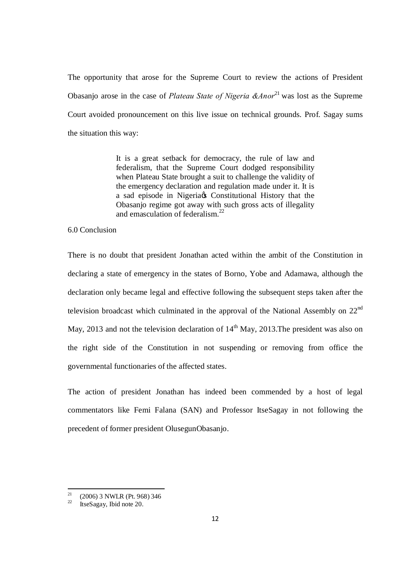The opportunity that arose for the Supreme Court to review the actions of President Obasanjo arose in the case of *Plateau State of Nigeria &Anor*<sup>21</sup> was lost as the Supreme Court avoided pronouncement on this live issue on technical grounds. Prof. Sagay sums the situation this way:

> It is a great setback for democracy, the rule of law and federalism, that the Supreme Court dodged responsibility when Plateau State brought a suit to challenge the validity of the emergency declaration and regulation made under it. It is a sad episode in Nigeria & Constitutional History that the Obasanjo regime got away with such gross acts of illegality and emasculation of federalism.<sup>22</sup>

#### 6.0 Conclusion

There is no doubt that president Jonathan acted within the ambit of the Constitution in declaring a state of emergency in the states of Borno, Yobe and Adamawa, although the declaration only became legal and effective following the subsequent steps taken after the television broadcast which culminated in the approval of the National Assembly on  $22<sup>nd</sup>$ May, 2013 and not the television declaration of  $14<sup>th</sup>$  May, 2013. The president was also on the right side of the Constitution in not suspending or removing from office the governmental functionaries of the affected states.

The action of president Jonathan has indeed been commended by a host of legal commentators like Femi Falana (SAN) and Professor ItseSagay in not following the precedent of former president OlusegunObasanjo.

<sup>&</sup>lt;sup>21</sup> (2006) 3 NWLR (Pt. 968) 346<br><sup>22</sup> ItseSagay, Ibid note 20.